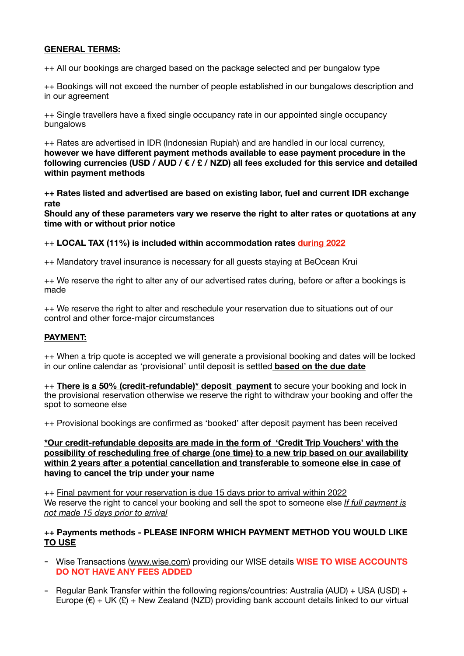# **GENERAL TERMS:**

++ All our bookings are charged based on the package selected and per bungalow type

++ Bookings will not exceed the number of people established in our bungalows description and in our agreement

++ Single travellers have a fixed single occupancy rate in our appointed single occupancy bungalows

++ Rates are advertised in IDR (Indonesian Rupiah) and are handled in our local currency, **however we have different payment methods available to ease payment procedure in the following currencies (USD / AUD / € / £ / NZD) all fees excluded for this service and detailed within payment methods** 

**++ Rates listed and advertised are based on existing labor, fuel and current IDR exchange rate** 

**Should any of these parameters vary we reserve the right to alter rates or quotations at any time with or without prior notice** 

++ **LOCAL TAX (11%) is included within accommodation rates during 2022**

++ Mandatory travel insurance is necessary for all guests staying at BeOcean Krui

++ We reserve the right to alter any of our advertised rates during, before or after a bookings is made

++ We reserve the right to alter and reschedule your reservation due to situations out of our control and other force-major circumstances

# **PAYMENT:**

++ When a trip quote is accepted we will generate a provisional booking and dates will be locked in our online calendar as 'provisional' until deposit is settled **based on the due date**

++ **There is a 50% (credit-refundable)\* deposit payment** to secure your booking and lock in the provisional reservation otherwise we reserve the right to withdraw your booking and offer the spot to someone else

++ Provisional bookings are confirmed as 'booked' after deposit payment has been received

**\*Our credit-refundable deposits are made in the form of 'Credit Trip Vouchers' with the possibility of rescheduling free of charge (one time) to a new trip based on our availability within 2 years after a potential cancellation and transferable to someone else in case of having to cancel the trip under your name** 

++ Final payment for your reservation is due 15 days prior to arrival within 2022 We reserve the right to cancel your booking and sell the spot to someone else *If full payment is not made 15 days prior to arrival* 

#### **++ Payments methods - PLEASE INFORM WHICH PAYMENT METHOD YOU WOULD LIKE TO USE**

- Wise Transactions [\(www.wise.com](http://www.wise.com)) providing our WISE details **WISE TO WISE ACCOUNTS DO NOT HAVE ANY FEES ADDED**
- Regular Bank Transfer within the following regions/countries: Australia (AUD) + USA (USD) + Europe  $(\epsilon)$  + UK  $(\epsilon)$  + New Zealand (NZD) providing bank account details linked to our virtual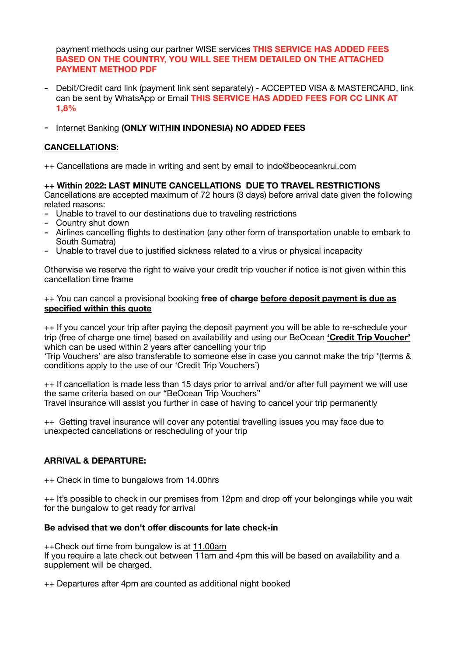payment methods using our partner WISE services **THIS SERVICE HAS ADDED FEES BASED ON THE COUNTRY, YOU WILL SEE THEM DETAILED ON THE ATTACHED PAYMENT METHOD PDF** 

- Debit/Credit card link (payment link sent separately) ACCEPTED VISA & MASTERCARD, link can be sent by WhatsApp or Email **THIS SERVICE HAS ADDED FEES FOR CC LINK AT 1,8%**
- Internet Banking **(ONLY WITHIN INDONESIA) NO ADDED FEES**

# **CANCELLATIONS:**

++ Cancellations are made in writing and sent by email to [indo@beoceankrui.com](mailto:indo@beoceankrui.com)

**++ Within 2022: LAST MINUTE CANCELLATIONS DUE TO TRAVEL RESTRICTIONS**  Cancellations are accepted maximum of 72 hours (3 days) before arrival date given the following related reasons:

- Unable to travel to our destinations due to traveling restrictions
- Country shut down
- Airlines cancelling flights to destination (any other form of transportation unable to embark to South Sumatra)
- Unable to travel due to justified sickness related to a virus or physical incapacity

Otherwise we reserve the right to waive your credit trip voucher if notice is not given within this cancellation time frame

#### ++ You can cancel a provisional booking **free of charge before deposit payment is due as specified within this quote**

++ If you cancel your trip after paying the deposit payment you will be able to re-schedule your trip (free of charge one time) based on availability and using our BeOcean **'Credit Trip Voucher'** which can be used within 2 years after cancelling your trip 'Trip Vouchers' are also transferable to someone else in case you cannot make the trip \*(terms & conditions apply to the use of our 'Credit Trip Vouchers')

++ If cancellation is made less than 15 days prior to arrival and/or after full payment we will use the same criteria based on our "BeOcean Trip Vouchers" Travel insurance will assist you further in case of having to cancel your trip permanently

++ Getting travel insurance will cover any potential travelling issues you may face due to unexpected cancellations or rescheduling of your trip

# **ARRIVAL & DEPARTURE:**

++ Check in time to bungalows from 14.00hrs

++ It's possible to check in our premises from 12pm and drop off your belongings while you wait for the bungalow to get ready for arrival

# **Be advised that we don't offer discounts for late check-in**

++Check out time from bungalow is at 11.00am If you require a late check out between 11am and 4pm this will be based on availability and a supplement will be charged.

++ Departures after 4pm are counted as additional night booked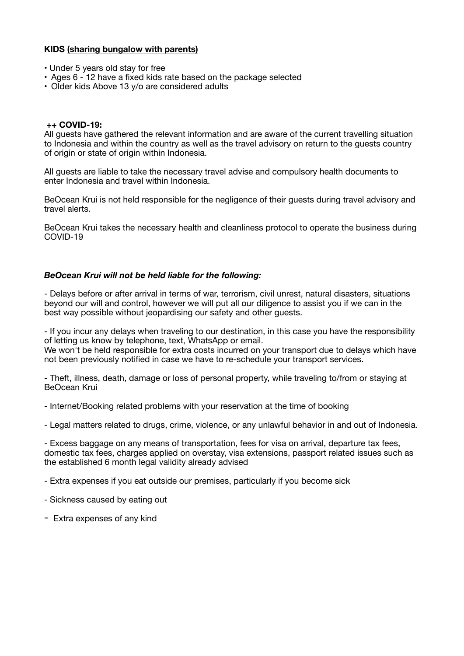## **KIDS (sharing bungalow with parents)**

- Under 5 years old stay for free
- Ages 6 12 have a fixed kids rate based on the package selected
- Older kids Above 13 y/o are considered adults

#### **++ COVID-19:**

All guests have gathered the relevant information and are aware of the current travelling situation to Indonesia and within the country as well as the travel advisory on return to the guests country of origin or state of origin within Indonesia.

All guests are liable to take the necessary travel advise and compulsory health documents to enter Indonesia and travel within Indonesia.

BeOcean Krui is not held responsible for the negligence of their guests during travel advisory and travel alerts.

BeOcean Krui takes the necessary health and cleanliness protocol to operate the business during COVID-19

#### *BeOcean Krui will not be held liable for the following:*

- Delays before or after arrival in terms of war, terrorism, civil unrest, natural disasters, situations beyond our will and control, however we will put all our diligence to assist you if we can in the best way possible without jeopardising our safety and other quests.

- If you incur any delays when traveling to our destination, in this case you have the responsibility of letting us know by telephone, text, WhatsApp or email.

We won't be held responsible for extra costs incurred on your transport due to delays which have not been previously notified in case we have to re-schedule your transport services.

- Theft, illness, death, damage or loss of personal property, while traveling to/from or staying at BeOcean Krui

- Internet/Booking related problems with your reservation at the time of booking

- Legal matters related to drugs, crime, violence, or any unlawful behavior in and out of Indonesia.

- Excess baggage on any means of transportation, fees for visa on arrival, departure tax fees, domestic tax fees, charges applied on overstay, visa extensions, passport related issues such as the established 6 month legal validity already advised

- Extra expenses if you eat outside our premises, particularly if you become sick

- Sickness caused by eating out
- Extra expenses of any kind